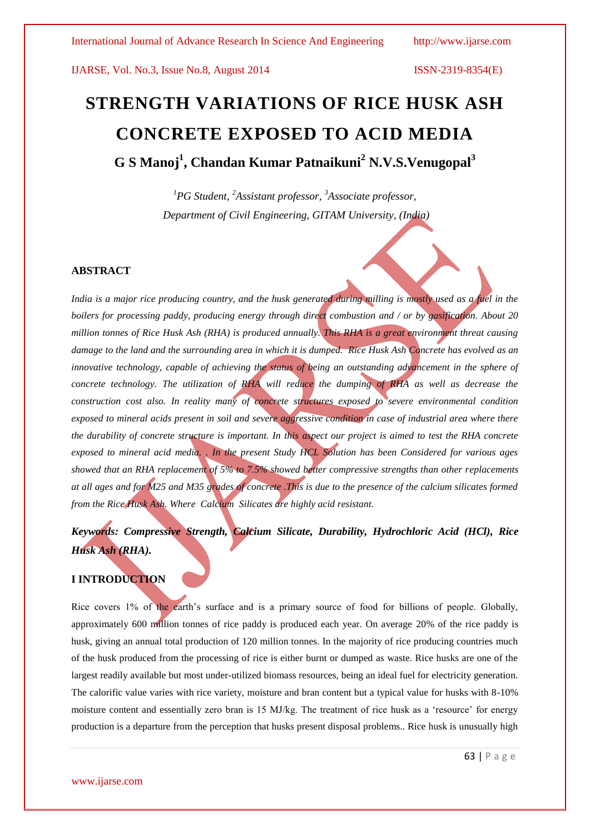# **STRENGTH VARIATIONS OF RICE HUSK ASH CONCRETE EXPOSED TO ACID MEDIA G S Manoj<sup>1</sup> , Chandan Kumar Patnaikuni<sup>2</sup> N.V.S.Venugopal<sup>3</sup>**

*<sup>1</sup>PG Student, <sup>2</sup>Assistant professor, <sup>3</sup>Associate professor, Department of Civil Engineering, GITAM University, (India)*

#### **ABSTRACT**

*India is a major rice producing country, and the husk generated during milling is mostly used as a fuel in the boilers for processing paddy, producing energy through direct combustion and / or by gasification. About 20 million tonnes of Rice Husk Ash (RHA) is produced annually. This RHA is a great environment threat causing damage to the land and the surrounding area in which it is dumped. Rice Husk Ash Concrete has evolved as an innovative technology, capable of achieving the status of being an outstanding advancement in the sphere of concrete technology. The utilization of RHA will reduce the dumping of RHA as well as decrease the construction cost also. In reality many of concrete structures exposed to severe environmental condition exposed to mineral acids present in soil and severe aggressive condition in case of industrial area where there the durability of concrete structure is important. In this aspect our project is aimed to test the RHA concrete exposed to mineral acid media. . In the present Study HCL Solution has been Considered for various ages showed that an RHA replacement of 5% to 7.5% showed better compressive strengths than other replacements at all ages and for M25 and M35 grades of concrete .This is due to the presence of the calcium silicates formed from the Rice Husk Ash. Where Calcium Silicates are highly acid resistant.*

## *Keywords: Compressive Strength, Calcium Silicate, Durability, Hydrochloric Acid (HCl), Rice Husk Ash (RHA).*

### **I INTRODUCTION**

Rice covers 1% of the earth's surface and is a primary source of food for billions of people. Globally, approximately 600 million tonnes of rice paddy is produced each year. On average 20% of the rice paddy is husk, giving an annual total production of 120 million tonnes. In the majority of rice producing countries much of the husk produced from the processing of rice is either burnt or dumped as waste. Rice husks are one of the largest readily available but most under-utilized biomass resources, being an ideal fuel for electricity generation. The calorific value varies with rice variety, moisture and bran content but a typical value for husks with 8-10% moisture content and essentially zero bran is 15 MJ/kg. The treatment of rice husk as a "resource" for energy production is a departure from the perception that husks present disposal problems.. Rice husk is unusually high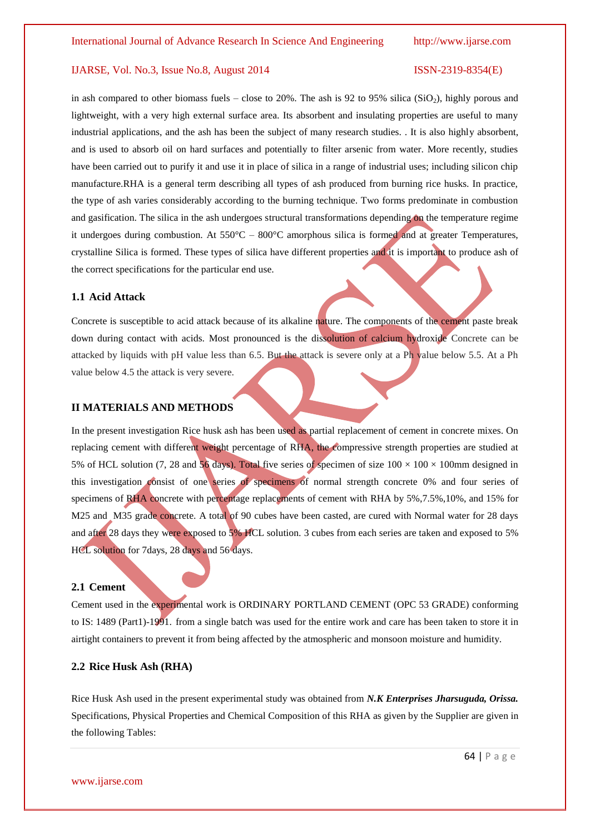in ash compared to other biomass fuels – close to 20%. The ash is 92 to 95% silica ( $SiO<sub>2</sub>$ ), highly porous and lightweight, with a very high external surface area. Its absorbent and insulating properties are useful to many industrial applications, and the ash has been the subject of many research studies. . It is also highly absorbent, and is used to absorb oil on hard surfaces and potentially to filter arsenic from water. More recently, studies have been carried out to purify it and use it in place of silica in a range of industrial uses; including silicon chip manufacture.RHA is a general term describing all types of ash produced from burning rice husks. In practice, the type of ash varies considerably according to the burning technique. Two forms predominate in combustion and gasification. The silica in the ash undergoes structural transformations depending on the temperature regime it undergoes during combustion. At  $550^{\circ}$ C –  $800^{\circ}$ C amorphous silica is formed and at greater Temperatures, crystalline Silica is formed. These types of silica have different properties and it is important to produce ash of the correct specifications for the particular end use.

#### **1.1 Acid Attack**

Concrete is susceptible to acid attack because of its alkaline nature. The components of the cement paste break down during contact with acids. Most pronounced is the dissolution of calcium hydroxide Concrete can be attacked by liquids with pH value less than 6.5. But the attack is severe only at a Ph value below 5.5. At a Ph value below 4.5 the attack is very severe.

### **II MATERIALS AND METHODS**

In the present investigation Rice husk ash has been used as partial replacement of cement in concrete mixes. On replacing cement with different weight percentage of RHA, the compressive strength properties are studied at 5% of HCL solution (7, 28 and 56 days). Total five series of specimen of size  $100 \times 100 \times 100$ mm designed in this investigation consist of one series of specimens of normal strength concrete 0% and four series of specimens of RHA concrete with percentage replacements of cement with RHA by 5%,7.5%,10%, and 15% for M25 and M35 grade concrete. A total of 90 cubes have been casted, are cured with Normal water for 28 days and after 28 days they were exposed to 5% HCL solution. 3 cubes from each series are taken and exposed to 5% HCL solution for 7days, 28 days and 56 days.

#### **2.1 Cement**

Cement used in the experimental work is ORDINARY PORTLAND CEMENT (OPC 53 GRADE) conforming to IS: 1489 (Part1)-1991. from a single batch was used for the entire work and care has been taken to store it in airtight containers to prevent it from being affected by the atmospheric and monsoon moisture and humidity.

#### **2.2 Rice Husk Ash (RHA)**

Rice Husk Ash used in the present experimental study was obtained from *N.K Enterprises Jharsuguda, Orissa.*  Specifications, Physical Properties and Chemical Composition of this RHA as given by the Supplier are given in the following Tables: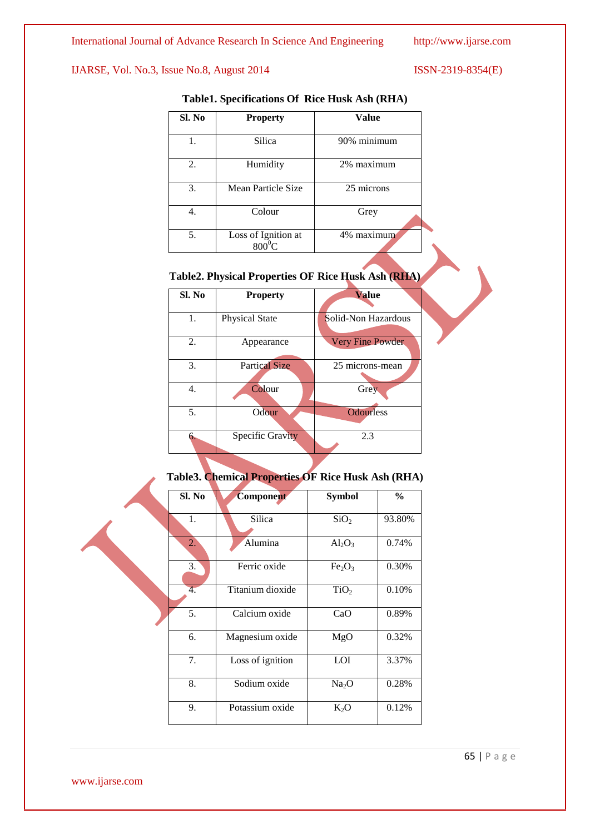| Sl. No | <b>Property</b>                        | Value<br>90% minimum |  |
|--------|----------------------------------------|----------------------|--|
| 1.     | Silica                                 |                      |  |
| 2.     | Humidity                               | 2% maximum           |  |
| 3.     | Mean Particle Size                     | 25 microns           |  |
| 4.     | Colour                                 | Grey                 |  |
| 5.     | Loss of Ignition at<br>$800^{\circ}$ C | 4% maximum           |  |

## **Table1. Specifications Of Rice Husk Ash (RHA)**

# **Table2. Physical Properties OF Rice Husk Ash (RHA) Sl. No Property Value** 1. Physical State Solid-Non Hazardous 2. Appearance Very Fine Powder 3. Partical Size 25 microns-mean 4. Colour Grey 5. Odour Odourless 6. Specific Gravity 2.3

### **Table3. Chemical Properties OF Rice Husk Ash (RHA)**

| Sl. No | Component        | <b>Symbol</b>                  | $\frac{0}{0}$ |
|--------|------------------|--------------------------------|---------------|
| 1.     | Silica           | SiO <sub>2</sub>               | 93.80%        |
| 2.     | Alumina          | $Al_2O_3$                      | 0.74%         |
| 3.     | Ferric oxide     | Fe <sub>2</sub> O <sub>3</sub> | 0.30%         |
| 4.     | Titanium dioxide | TiO <sub>2</sub>               | 0.10%         |
| 5.     | Calcium oxide    | CaO                            | 0.89%         |
| 6.     | Magnesium oxide  | MgO                            | 0.32%         |
| 7.     | Loss of ignition | LOI                            | 3.37%         |
| 8.     | Sodium oxide     | Na <sub>2</sub> O              | 0.28%         |
| 9.     | Potassium oxide  | $K_2O$                         | 0.12%         |

www.ijarse.com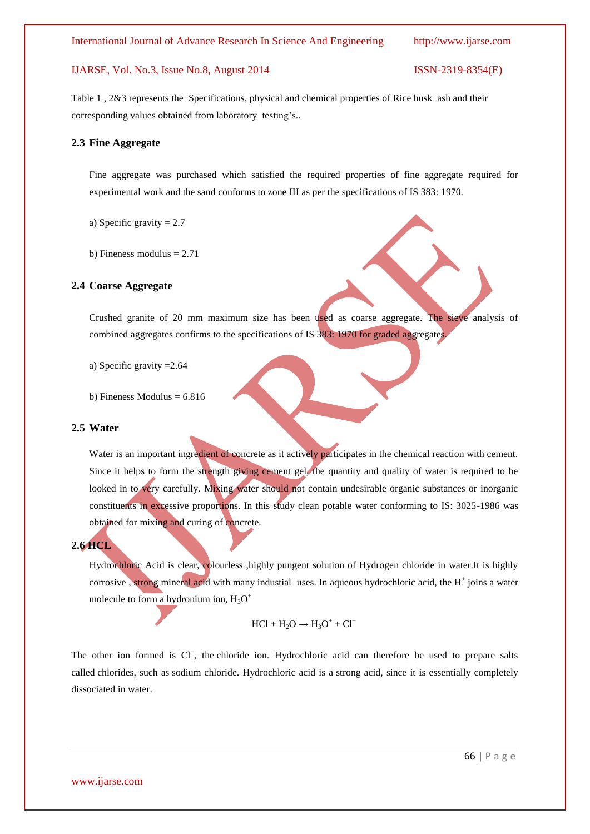Table 1 , 2&3 represents the Specifications, physical and chemical properties of Rice husk ash and their corresponding values obtained from laboratory testing's..

#### **2.3 Fine Aggregate**

Fine aggregate was purchased which satisfied the required properties of fine aggregate required for experimental work and the sand conforms to zone III as per the specifications of IS 383: 1970.

a) Specific gravity = 2.7

b) Fineness modulus  $= 2.71$ 

#### **2.4 Coarse Aggregate**

Crushed granite of 20 mm maximum size has been used as coarse aggregate. The sieve analysis of combined aggregates confirms to the specifications of IS 383: 1970 for graded aggregates.

a) Specific gravity =2.64

b) Fineness Modulus  $= 6.816$ 

#### **2.5 Water**

Water is an important ingredient of concrete as it actively participates in the chemical reaction with cement. Since it helps to form the strength giving cement gel, the quantity and quality of water is required to be looked in to very carefully. Mixing water should not contain undesirable organic substances or inorganic constituents in excessive proportions. In this study clean potable water conforming to IS: 3025-1986 was obtained for mixing and curing of concrete.

#### **2.6 HCL**

Hydrochloric Acid is clear, colourless ,highly pungent solution of Hydrogen chloride in water.It is highly corrosive, strong mineral acid with many industial uses. In aqueous hydrochloric acid, the H<sup>+</sup> joins a water molecule to form a hydronium ion,  $H_3O^+$ 

 $HCl + H<sub>2</sub>O \rightarrow H<sub>3</sub>O<sup>+</sup> + Cl<sup>-</sup>$ 

The other ion formed is Cl<sup>−</sup>, the chloride ion. Hydrochloric acid can therefore be used to prepare salts called chlorides, such as sodium chloride. Hydrochloric acid is a strong acid, since it is essentially completely dissociated in water.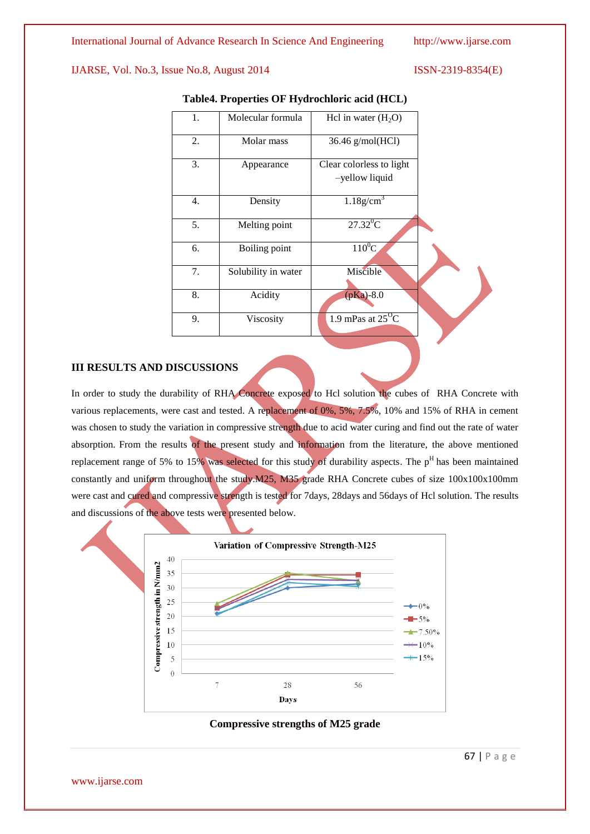| 1. | Molecular formula   | Hcl in water $(H_2O)$                           |  |
|----|---------------------|-------------------------------------------------|--|
| 2. | Molar mass          | 36.46 g/mol(HCl)                                |  |
| 3. | Appearance          | Clear colorless to light<br>-yellow liquid      |  |
| 4. | Density             | $1.18$ g/cm <sup>3</sup>                        |  |
| 5. | Melting point       | $27.32$ <sup>0</sup> C                          |  |
| 6. | Boiling point       | $110^0$ C                                       |  |
| 7. | Solubility in water | Miscible                                        |  |
| 8. | Acidity             | $(pKa) - 8.0$                                   |  |
| 9. | Viscosity           | 1.9 mPas at $2\overline{5}^{\circ}\overline{C}$ |  |

#### **Table4. Properties OF Hydrochloric acid (HCL)**

#### **III RESULTS AND DISCUSSIONS**

In order to study the durability of RHA Concrete exposed to Hcl solution the cubes of RHA Concrete with various replacements, were cast and tested. A replacement of 0%, 5%, 7.5%, 10% and 15% of RHA in cement was chosen to study the variation in compressive strength due to acid water curing and find out the rate of water absorption. From the results of the present study and information from the literature, the above mentioned replacement range of 5% to 15% was selected for this study of durability aspects. The  $p<sup>H</sup>$  has been maintained constantly and uniform throughout the study.M25, M35 grade RHA Concrete cubes of size 100x100x100mm were cast and cured and compressive strength is tested for 7days, 28days and 56days of Hcl solution. The results and discussions of the above tests were presented below.





www.ijarse.com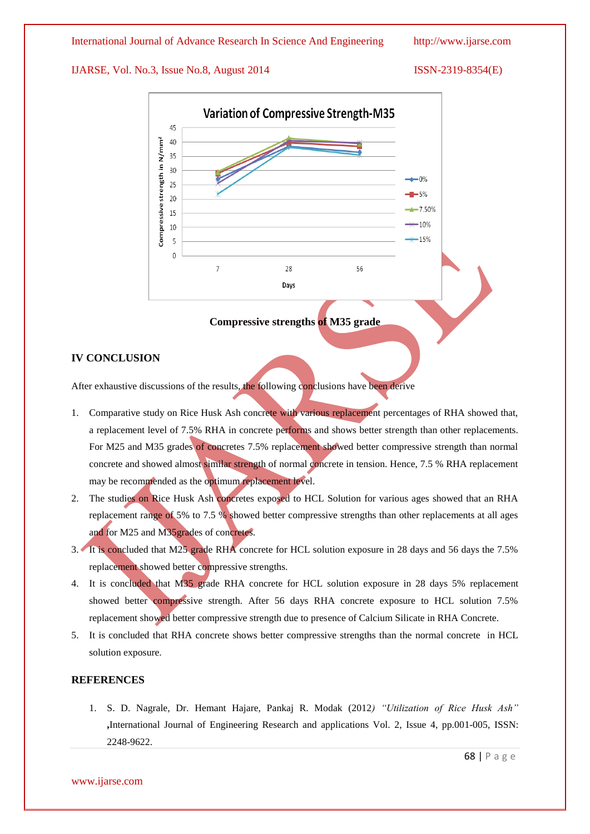

#### **Compressive strengths of M35 grade**

#### **IV CONCLUSION**

After exhaustive discussions of the results, the following conclusions have been derive

- 1. Comparative study on Rice Husk Ash concrete with various replacement percentages of RHA showed that, a replacement level of 7.5% RHA in concrete performs and shows better strength than other replacements. For M25 and M35 grades of concretes 7.5% replacement showed better compressive strength than normal concrete and showed almost similar strength of normal concrete in tension. Hence, 7.5 % RHA replacement may be recommended as the optimum replacement level.
- 2. The studies on Rice Husk Ash concretes exposed to HCL Solution for various ages showed that an RHA replacement range of 5% to 7.5 % showed better compressive strengths than other replacements at all ages and for M25 and M35grades of concretes.
- 3. It is concluded that M25 grade RHA concrete for HCL solution exposure in 28 days and 56 days the 7.5% replacement showed better compressive strengths.
- 4. It is concluded that M35 grade RHA concrete for HCL solution exposure in 28 days 5% replacement showed better compressive strength. After 56 days RHA concrete exposure to HCL solution 7.5% replacement showed better compressive strength due to presence of Calcium Silicate in RHA Concrete.
- 5. It is concluded that RHA concrete shows better compressive strengths than the normal concrete in HCL solution exposure.

### **REFERENCES**

1. S. D. Nagrale, Dr. Hemant Hajare, Pankaj R. Modak (2012*) "Utilization of Rice Husk Ash"* **,**International Journal of Engineering Research and applications Vol. 2, Issue 4, pp.001-005, ISSN: 2248-9622.

www.ijarse.com